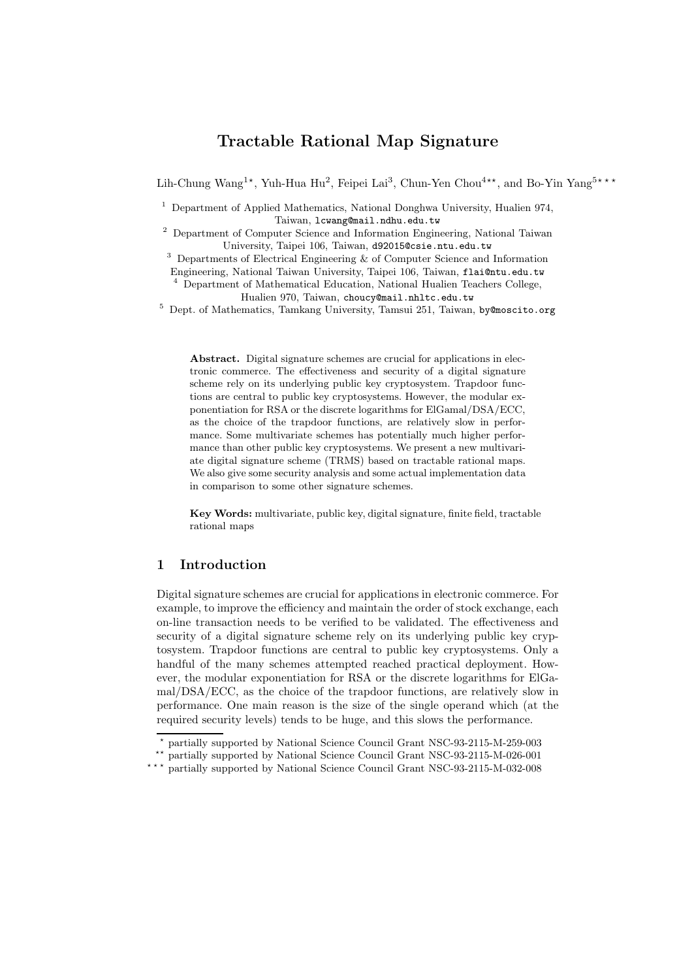# Tractable Rational Map Signature

Lih-Chung Wang<sup>1\*</sup>, Yuh-Hua Hu<sup>2</sup>, Feipei Lai<sup>3</sup>, Chun-Yen Chou<sup>4\*\*</sup>, and Bo-Yin Yang<sup>5\*\*\*</sup>

<sup>1</sup> Department of Applied Mathematics, National Donghwa University, Hualien 974, Taiwan, lcwang@mail.ndhu.edu.tw

<sup>2</sup> Department of Computer Science and Information Engineering, National Taiwan University, Taipei 106, Taiwan, d92015@csie.ntu.edu.tw

<sup>3</sup> Departments of Electrical Engineering & of Computer Science and Information

Engineering, National Taiwan University, Taipei 106, Taiwan, flai@ntu.edu.tw

<sup>4</sup> Department of Mathematical Education, National Hualien Teachers College, Hualien 970, Taiwan, choucy@mail.nhltc.edu.tw

<sup>5</sup> Dept. of Mathematics, Tamkang University, Tamsui 251, Taiwan, by@moscito.org

Abstract. Digital signature schemes are crucial for applications in electronic commerce. The effectiveness and security of a digital signature scheme rely on its underlying public key cryptosystem. Trapdoor functions are central to public key cryptosystems. However, the modular exponentiation for RSA or the discrete logarithms for ElGamal/DSA/ECC, as the choice of the trapdoor functions, are relatively slow in performance. Some multivariate schemes has potentially much higher performance than other public key cryptosystems. We present a new multivariate digital signature scheme (TRMS) based on tractable rational maps. We also give some security analysis and some actual implementation data in comparison to some other signature schemes.

Key Words: multivariate, public key, digital signature, finite field, tractable rational maps

# 1 Introduction

Digital signature schemes are crucial for applications in electronic commerce. For example, to improve the efficiency and maintain the order of stock exchange, each on-line transaction needs to be verified to be validated. The effectiveness and security of a digital signature scheme rely on its underlying public key cryptosystem. Trapdoor functions are central to public key cryptosystems. Only a handful of the many schemes attempted reached practical deployment. However, the modular exponentiation for RSA or the discrete logarithms for ElGamal/DSA/ECC, as the choice of the trapdoor functions, are relatively slow in performance. One main reason is the size of the single operand which (at the required security levels) tends to be huge, and this slows the performance.

<sup>?</sup> partially supported by National Science Council Grant NSC-93-2115-M-259-003

<sup>\*\*</sup> partially supported by National Science Council Grant NSC-93-2115-M-026-001

<sup>\*\*\*</sup> partially supported by National Science Council Grant NSC-93-2115-M-032-008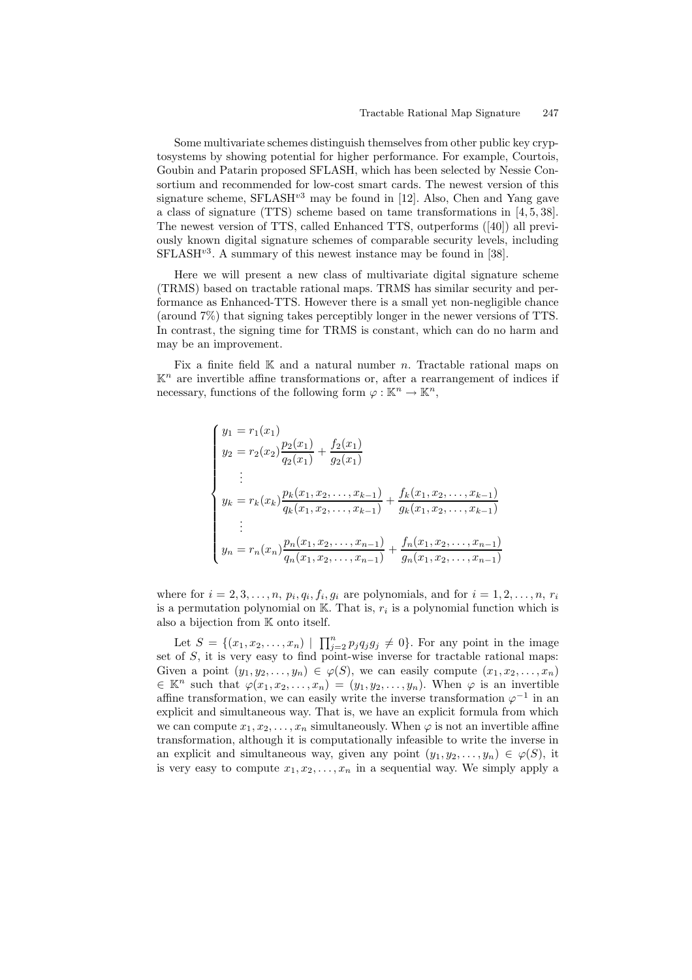Some multivariate schemes distinguish themselves from other public key cryptosystems by showing potential for higher performance. For example, Courtois, Goubin and Patarin proposed SFLASH, which has been selected by Nessie Consortium and recommended for low-cost smart cards. The newest version of this signature scheme,  $SFLASH^{v3}$  may be found in [12]. Also, Chen and Yang gave a class of signature (TTS) scheme based on tame transformations in [4, 5, 38]. The newest version of TTS, called Enhanced TTS, outperforms ([40]) all previously known digital signature schemes of comparable security levels, including  $SFLASH<sup>v3</sup>$ . A summary of this newest instance may be found in [38].

Here we will present a new class of multivariate digital signature scheme (TRMS) based on tractable rational maps. TRMS has similar security and performance as Enhanced-TTS. However there is a small yet non-negligible chance (around 7%) that signing takes perceptibly longer in the newer versions of TTS. In contrast, the signing time for TRMS is constant, which can do no harm and may be an improvement.

Fix a finite field  $\mathbb K$  and a natural number n. Tractable rational maps on  $\mathbb{K}^n$  are invertible affine transformations or, after a rearrangement of indices if necessary, functions of the following form  $\varphi : \mathbb{K}^n \to \mathbb{K}^n$ ,

$$
\begin{cases}\ny_1 = r_1(x_1) \\
y_2 = r_2(x_2) \frac{p_2(x_1)}{q_2(x_1)} + \frac{f_2(x_1)}{g_2(x_1)} \\
\vdots \\
y_k = r_k(x_k) \frac{p_k(x_1, x_2, \dots, x_{k-1})}{q_k(x_1, x_2, \dots, x_{k-1})} + \frac{f_k(x_1, x_2, \dots, x_{k-1})}{g_k(x_1, x_2, \dots, x_{k-1})} \\
\vdots \\
y_n = r_n(x_n) \frac{p_n(x_1, x_2, \dots, x_{n-1})}{q_n(x_1, x_2, \dots, x_{n-1})} + \frac{f_n(x_1, x_2, \dots, x_{n-1})}{g_n(x_1, x_2, \dots, x_{n-1})}\n\end{cases}
$$

where for  $i = 2, 3, \ldots, n$ ,  $p_i, q_i, f_i, g_i$  are polynomials, and for  $i = 1, 2, \ldots, n$ ,  $r_i$ is a permutation polynomial on  $\mathbb{K}$ . That is,  $r_i$  is a polynomial function which is also a bijection from K onto itself.

Let  $S = \{(x_1, x_2, ..., x_n) \mid \prod_{j=2}^n p_j q_j g_j \neq 0\}$ . For any point in the image set of  $S$ , it is very easy to find point-wise inverse for tractable rational maps: Given a point  $(y_1, y_2, \ldots, y_n) \in \varphi(S)$ , we can easily compute  $(x_1, x_2, \ldots, x_n)$  $\in \mathbb{K}^n$  such that  $\varphi(x_1, x_2, \ldots, x_n) = (y_1, y_2, \ldots, y_n)$ . When  $\varphi$  is an invertible affine transformation, we can easily write the inverse transformation  $\varphi^{-1}$  in an explicit and simultaneous way. That is, we have an explicit formula from which we can compute  $x_1, x_2, \ldots, x_n$  simultaneously. When  $\varphi$  is not an invertible affine transformation, although it is computationally infeasible to write the inverse in an explicit and simultaneous way, given any point  $(y_1, y_2, \ldots, y_n) \in \varphi(S)$ , it is very easy to compute  $x_1, x_2, \ldots, x_n$  in a sequential way. We simply apply a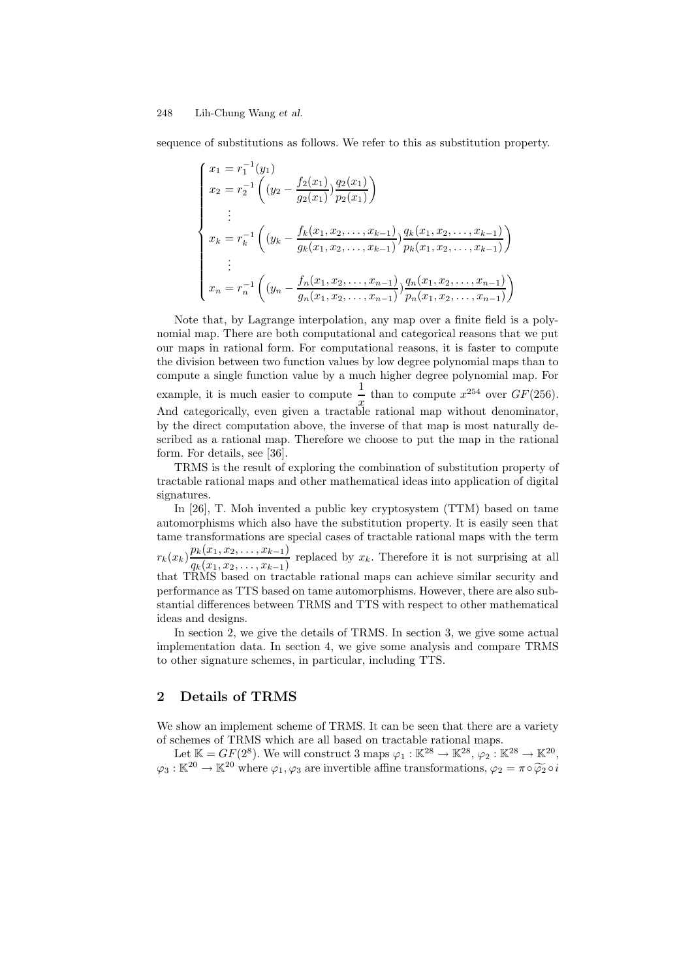sequence of substitutions as follows. We refer to this as substitution property.

$$
\begin{cases}\nx_1 = r_1^{-1}(y_1) \\
x_2 = r_2^{-1}\left((y_2 - \frac{f_2(x_1)}{g_2(x_1)})\frac{q_2(x_1)}{p_2(x_1)}\right) \\
\vdots \\
x_k = r_k^{-1}\left((y_k - \frac{f_k(x_1, x_2, \dots, x_{k-1})}{g_k(x_1, x_2, \dots, x_{k-1})}\frac{q_k(x_1, x_2, \dots, x_{k-1})}{p_k(x_1, x_2, \dots, x_{k-1})}\right) \\
\vdots \\
x_n = r_n^{-1}\left((y_n - \frac{f_n(x_1, x_2, \dots, x_{n-1})}{g_n(x_1, x_2, \dots, x_{n-1})}\frac{q_n(x_1, x_2, \dots, x_{n-1})}{p_n(x_1, x_2, \dots, x_{n-1})}\right)\n\end{cases}
$$

Note that, by Lagrange interpolation, any map over a finite field is a polynomial map. There are both computational and categorical reasons that we put our maps in rational form. For computational reasons, it is faster to compute the division between two function values by low degree polynomial maps than to compute a single function value by a much higher degree polynomial map. For example, it is much easier to compute  $\frac{1}{1}$  $\frac{1}{x}$  than to compute  $x^{254}$  over  $GF(256)$ . And categorically, even given a tractable rational map without denominator, by the direct computation above, the inverse of that map is most naturally described as a rational map. Therefore we choose to put the map in the rational form. For details, see [36].

TRMS is the result of exploring the combination of substitution property of tractable rational maps and other mathematical ideas into application of digital signatures.

In [26], T. Moh invented a public key cryptosystem (TTM) based on tame automorphisms which also have the substitution property. It is easily seen that tame transformations are special cases of tractable rational maps with the term  $r_k(x_k) \frac{p_k(x_1, x_2, \ldots, x_{k-1})}{p_k(x_k, x_k, \ldots, x_{k-1})}$  $\frac{q_k(x_1, x_2, \ldots, x_{k-1})}{q_k(x_1, x_2, \ldots, x_{k-1})}$  replaced by  $x_k$ . Therefore it is not surprising at all that TRMS based on tractable rational maps can achieve similar security and performance as TTS based on tame automorphisms. However, there are also substantial differences between TRMS and TTS with respect to other mathematical ideas and designs.

In section 2, we give the details of TRMS. In section 3, we give some actual implementation data. In section 4, we give some analysis and compare TRMS to other signature schemes, in particular, including TTS.

# 2 Details of TRMS

We show an implement scheme of TRMS. It can be seen that there are a variety of schemes of TRMS which are all based on tractable rational maps.

Let  $\mathbb{K} = GF(2^8)$ . We will construct 3 maps  $\varphi_1 : \mathbb{K}^{28} \to \mathbb{K}^{28}$ ,  $\varphi_2 : \mathbb{K}^{28} \to \mathbb{K}^{20}$ ,  $\varphi_3 : \mathbb{K}^{20} \to \mathbb{K}^{20}$  where  $\varphi_1, \varphi_3$  are invertible affine transformations,  $\varphi_2 = \pi \circ \widetilde{\varphi_2} \circ i$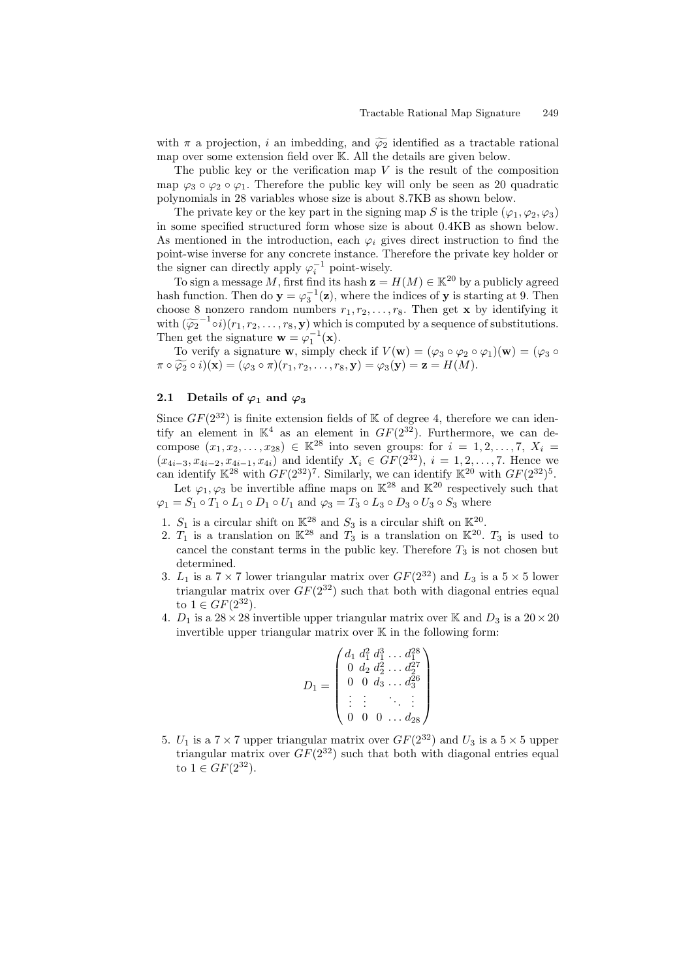with  $\pi$  a projection, i an imbedding, and  $\widetilde{\varphi_2}$  identified as a tractable rational map over some extension field over K. All the details are given below.

The public key or the verification map  $V$  is the result of the composition map  $\varphi_3 \circ \varphi_2 \circ \varphi_1$ . Therefore the public key will only be seen as 20 quadratic polynomials in 28 variables whose size is about 8.7KB as shown below.

The private key or the key part in the signing map S is the triple  $(\varphi_1, \varphi_2, \varphi_3)$ in some specified structured form whose size is about 0.4KB as shown below. As mentioned in the introduction, each  $\varphi_i$  gives direct instruction to find the point-wise inverse for any concrete instance. Therefore the private key holder or the signer can directly apply  $\varphi_i^{-1}$  point-wisely.

To sign a message M, first find its hash  $z = H(M) \in \mathbb{K}^{20}$  by a publicly agreed hash function. Then do  $\mathbf{y} = \varphi_3^{-1}(\mathbf{z})$ , where the indices of  $\mathbf{y}$  is starting at 9. Then choose 8 nonzero random numbers  $r_1, r_2, \ldots, r_8$ . Then get **x** by identifying it with  $(\widetilde{\varphi_2}^{-1} \circ i)(r_1, r_2, \ldots, r_8, y)$  which is computed by a sequence of substitutions. Then get the signature  $\mathbf{w} = \varphi_1^{-1}(\mathbf{x})$ .

To verify a signature **w**, simply check if  $V(\mathbf{w}) = (\varphi_3 \circ \varphi_2 \circ \varphi_1)(\mathbf{w}) = (\varphi_3 \circ \varphi_2 \circ \varphi_2)(\mathbf{w})$  $\pi \circ \widetilde{\varphi_2} \circ i)(\mathbf{x}) = (\varphi_3 \circ \pi)(r_1, r_2, \dots, r_8, \mathbf{y}) = \varphi_3(\mathbf{y}) = \mathbf{z} = H(M).$ 

# 2.1 Details of  $\varphi_1$  and  $\varphi_3$

Since  $GF(2^{32})$  is finite extension fields of K of degree 4, therefore we can identify an element in  $\mathbb{K}^4$  as an element in  $GF(2^{32})$ . Furthermore, we can decompose  $(x_1, x_2, ..., x_{28}) \in \mathbb{K}^{28}$  into seven groups: for  $i = 1, 2, ..., 7, X_i =$  $(x_{4i-3}, x_{4i-2}, x_{4i-1}, x_{4i})$  and identify  $X_i \in GF(2^{32})$ ,  $i = 1, 2, ..., 7$ . Hence we can identify  $\mathbb{K}^{28}$  with  $GF(2^{32})^7$ . Similarly, we can identify  $\mathbb{K}^{20}$  with  $GF(2^{32})^5$ .

Let  $\varphi_1, \varphi_3$  be invertible affine maps on  $\mathbb{K}^{28}$  and  $\mathbb{K}^{20}$  respectively such that  $\varphi_1 = S_1 \circ T_1 \circ L_1 \circ D_1 \circ U_1$  and  $\varphi_3 = T_3 \circ L_3 \circ D_3 \circ U_3 \circ S_3$  where

- 1.  $S_1$  is a circular shift on  $\mathbb{K}^{28}$  and  $S_3$  is a circular shift on  $\mathbb{K}^{20}$ .
- 2.  $T_1$  is a translation on  $\mathbb{K}^{28}$  and  $T_3$  is a translation on  $\mathbb{K}^{20}$ .  $T_3$  is used to cancel the constant terms in the public key. Therefore  $T_3$  is not chosen but determined.
- 3.  $L_1$  is a  $7 \times 7$  lower triangular matrix over  $GF(2^{32})$  and  $L_3$  is a  $5 \times 5$  lower triangular matrix over  $GF(2^{32})$  such that both with diagonal entries equal to  $1 \in GF(2^{32})$ .
- 4.  $D_1$  is a  $28 \times 28$  invertible upper triangular matrix over K and  $D_3$  is a  $20 \times 20$ invertible upper triangular matrix over  $K$  in the following form:

$$
D_1 = \begin{pmatrix} d_1 \ d_1^2 \ d_1^3 \ \ldots \ d_1^{28} \\ 0 \ d_2 \ d_2^2 \ \ldots \ d_2^{27} \\ 0 \ 0 \ d_3 \ \ldots \ d_3^{26} \\ \vdots \ \vdots \quad \ddots \ \vdots \\ 0 \ 0 \ 0 \ \ldots \ d_{28} \end{pmatrix}
$$

5.  $U_1$  is a  $7 \times 7$  upper triangular matrix over  $GF(2^{32})$  and  $U_3$  is a  $5 \times 5$  upper triangular matrix over  $GF(2^{32})$  such that both with diagonal entries equal to  $1 \in GF(2^{32})$ .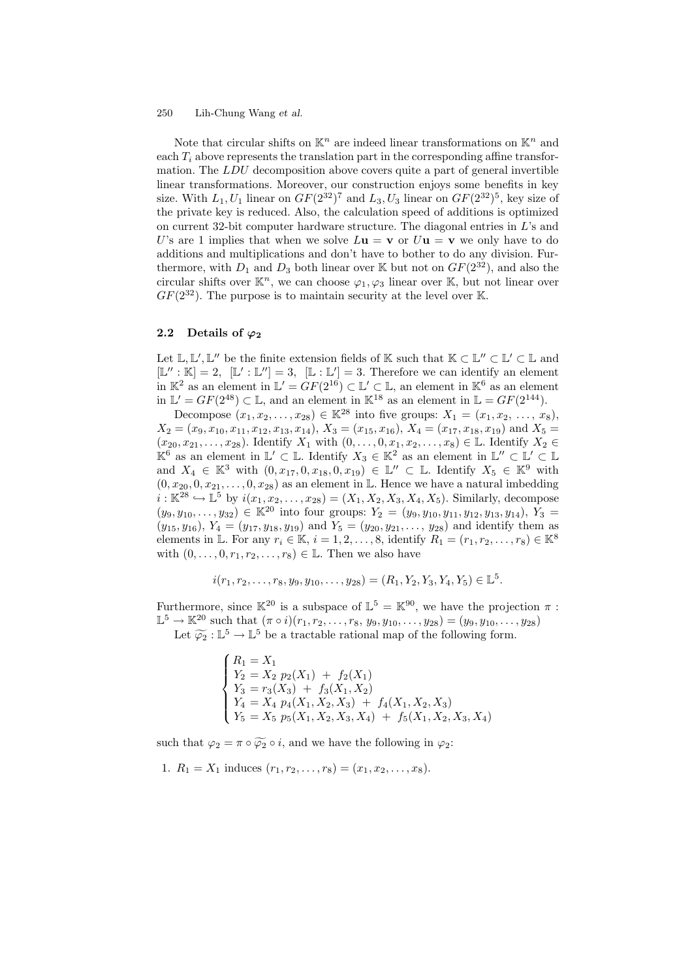Note that circular shifts on  $\mathbb{K}^n$  are indeed linear transformations on  $\mathbb{K}^n$  and each  $T_i$  above represents the translation part in the corresponding affine transformation. The LDU decomposition above covers quite a part of general invertible linear transformations. Moreover, our construction enjoys some benefits in key size. With  $L_1, U_1$  linear on  $GF(2^{32})^7$  and  $L_3, U_3$  linear on  $GF(2^{32})^5$ , key size of the private key is reduced. Also, the calculation speed of additions is optimized on current 32-bit computer hardware structure. The diagonal entries in L's and U's are 1 implies that when we solve  $L\mathbf{u} = \mathbf{v}$  or  $U\mathbf{u} = \mathbf{v}$  we only have to do additions and multiplications and don't have to bother to do any division. Furthermore, with  $D_1$  and  $D_3$  both linear over K but not on  $GF(2^{32})$ , and also the circular shifts over  $\mathbb{K}^n$ , we can choose  $\varphi_1, \varphi_3$  linear over  $\mathbb{K}$ , but not linear over  $GF(2^{32})$ . The purpose is to maintain security at the level over K.

### 2.2 Details of  $\varphi_2$

Let  $\mathbb{L}, \mathbb{L}', \mathbb{L}''$  be the finite extension fields of K such that  $\mathbb{K} \subset \mathbb{L}'' \subset \mathbb{L}' \subset \mathbb{L}$  and  $[\mathbb{L}'' : \mathbb{K}] = 2$ ,  $[\mathbb{L}' : \mathbb{L}'] = 3$ ,  $[\mathbb{L} : \mathbb{L}'] = 3$ . Therefore we can identify an element in  $\mathbb{K}^2$  as an element in  $\mathbb{L}' = \dot{G}F(2^{16}) \subset \mathbb{L}' \subset \mathbb{L}$ , an element in  $\mathbb{K}^6$  as an element in  $\mathbb{L}' = GF(2^{48}) \subset \mathbb{L}$ , and an element in  $\mathbb{K}^{18}$  as an element in  $\mathbb{L} = GF(2^{144})$ .

Decompose  $(x_1, x_2, \ldots, x_{28}) \in \mathbb{K}^{28}$  into five groups:  $X_1 = (x_1, x_2, \ldots, x_8)$ ,  $X_2 = (x_9, x_{10}, x_{11}, x_{12}, x_{13}, x_{14}), X_3 = (x_{15}, x_{16}), X_4 = (x_{17}, x_{18}, x_{19})$  and  $X_5 =$  $(x_{20}, x_{21}, \ldots, x_{28})$ . Identify  $X_1$  with  $(0, \ldots, 0, x_1, x_2, \ldots, x_8) \in \mathbb{L}$ . Identify  $X_2 \in$  $\mathbb{K}^6$  as an element in  $\mathbb{L}' \subset \mathbb{L}$ . Identify  $X_3 \in \mathbb{K}^2$  as an element in  $\mathbb{L}'' \subset \mathbb{L}' \subset \mathbb{L}$ and  $X_4 \in \mathbb{K}^3$  with  $(0, x_{17}, 0, x_{18}, 0, x_{19}) \in \mathbb{L}'' \subset \mathbb{L}$ . Identify  $X_5 \in \mathbb{K}^9$  with  $(0, x_{20}, 0, x_{21}, \ldots, 0, x_{28})$  as an element in L. Hence we have a natural imbedding  $i : \mathbb{K}^{28} \hookrightarrow \mathbb{L}^5$  by  $i(x_1, x_2, \dots, x_{28}) = (X_1, X_2, X_3, X_4, X_5)$ . Similarly, decompose  $(y_9, y_{10}, \ldots, y_{32}) \in \mathbb{K}^{20}$  into four groups:  $Y_2 = (y_9, y_{10}, y_{11}, y_{12}, y_{13}, y_{14}), Y_3 =$  $(y_{15}, y_{16}), Y_4 = (y_{17}, y_{18}, y_{19})$  and  $Y_5 = (y_{20}, y_{21}, \ldots, y_{28})$  and identify them as elements in L. For any  $r_i \in \mathbb{K}$ ,  $i = 1, 2, ..., 8$ , identify  $R_1 = (r_1, r_2, ..., r_8) \in \mathbb{K}^8$ with  $(0, \ldots, 0, r_1, r_2, \ldots, r_8) \in \mathbb{L}$ . Then we also have

$$
i(r_1, r_2, \ldots, r_8, y_9, y_{10}, \ldots, y_{28}) = (R_1, Y_2, Y_3, Y_4, Y_5) \in \mathbb{L}^5.
$$

Furthermore, since  $\mathbb{K}^{20}$  is a subspace of  $\mathbb{L}^{5} = \mathbb{K}^{90}$ , we have the projection  $\pi$ :  $\mathbb{L}^5 \to \mathbb{K}^{20}$  such that  $(\pi \circ i)(r_1, r_2, \ldots, r_8, y_9, y_{10}, \ldots, y_{28}) = (y_9, y_{10}, \ldots, y_{28})$ Let  $\widetilde{\varphi_2} : \mathbb{L}^5 \to \mathbb{L}^5$  be a tractable rational map of the following form.

$$
\begin{cases}\nR_1 = X_1 \\
Y_2 = X_2 \ p_2(X_1) + f_2(X_1) \\
Y_3 = r_3(X_3) + f_3(X_1, X_2) \\
Y_4 = X_4 \ p_4(X_1, X_2, X_3) + f_4(X_1, X_2, X_3) \\
Y_5 = X_5 \ p_5(X_1, X_2, X_3, X_4) + f_5(X_1, X_2, X_3, X_4)\n\end{cases}
$$

such that  $\varphi_2 = \pi \circ \widetilde{\varphi_2} \circ i$ , and we have the following in  $\varphi_2$ :

1.  $R_1 = X_1$  induces  $(r_1, r_2, \ldots, r_8) = (x_1, x_2, \ldots, x_8)$ .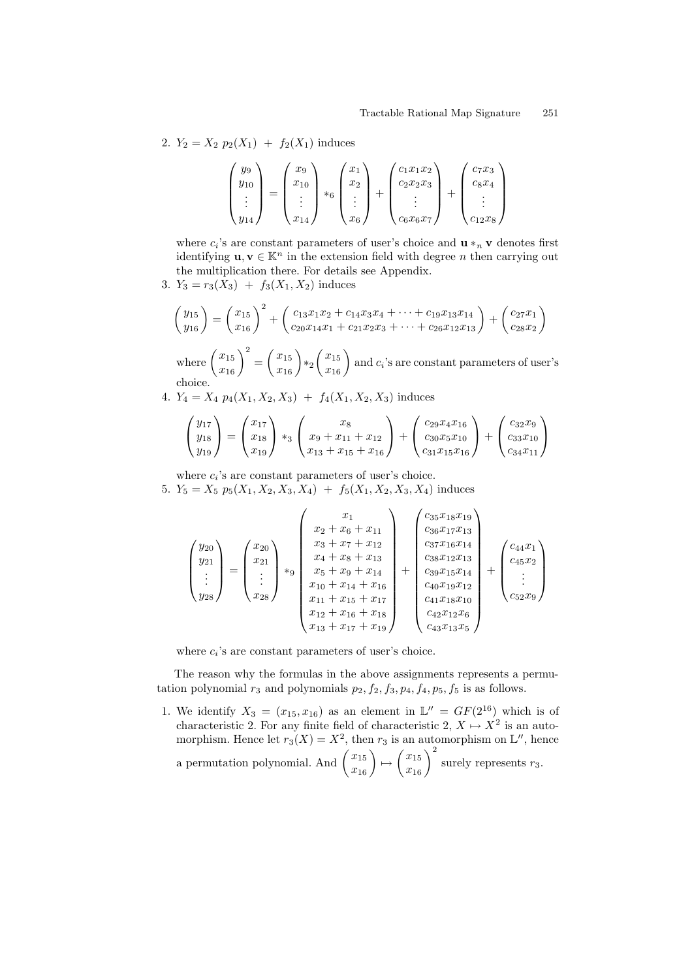2.  $Y_2 = X_2 p_2(X_1) + f_2(X_1)$  induces

$$
\begin{pmatrix} y_9 \\ y_{10} \\ \vdots \\ y_{14} \end{pmatrix} = \begin{pmatrix} x_9 \\ x_{10} \\ \vdots \\ x_{14} \end{pmatrix} *_{6} \begin{pmatrix} x_1 \\ x_2 \\ \vdots \\ x_6 \end{pmatrix} + \begin{pmatrix} c_1 x_1 x_2 \\ c_2 x_2 x_3 \\ \vdots \\ c_6 x_6 x_7 \end{pmatrix} + \begin{pmatrix} c_7 x_3 \\ c_8 x_4 \\ \vdots \\ c_1 x_8 \end{pmatrix}
$$

where  $c_i$ 's are constant parameters of user's choice and  $\mathbf{u} *_{n} \mathbf{v}$  denotes first identifying  $\mathbf{u}, \mathbf{v} \in \mathbb{K}^n$  in the extension field with degree n then carrying out the multiplication there. For details see Appendix.

3.  $Y_3 = r_3(X_3) + f_3(X_1, X_2)$  induces

$$
\begin{pmatrix} y_{15} \\ y_{16} \end{pmatrix} = \begin{pmatrix} x_{15} \\ x_{16} \end{pmatrix}^2 + \begin{pmatrix} c_{13}x_1x_2 + c_{14}x_3x_4 + \dots + c_{19}x_{13}x_{14} \\ c_{20}x_{14}x_1 + c_{21}x_2x_3 + \dots + c_{26}x_{12}x_{13} \end{pmatrix} + \begin{pmatrix} c_{27}x_1 \\ c_{28}x_2 \end{pmatrix}
$$

where  $\left(\frac{x_{15}}{x_{16}}\right)^2$  =  $\left(\begin{array}{c} x_{15} \\ x_{16} \end{array}\right)*2$  $\begin{pmatrix} x_{15} \\ x_{16} \end{pmatrix}$  and  $c_i$ 's are constant parameters of user's choice.

4.  $Y_4 = X_4 p_4(X_1, X_2, X_3) + f_4(X_1, X_2, X_3)$  induces

$$
\begin{pmatrix} y_{17} \\ y_{18} \\ y_{19} \end{pmatrix} = \begin{pmatrix} x_{17} \\ x_{18} \\ x_{19} \end{pmatrix} *_{3} \begin{pmatrix} x_{8} \\ x_{9} + x_{11} + x_{12} \\ x_{13} + x_{15} + x_{16} \end{pmatrix} + \begin{pmatrix} c_{29}x_{4}x_{16} \\ c_{30}x_{5}x_{10} \\ c_{31}x_{15}x_{16} \end{pmatrix} + \begin{pmatrix} c_{32}x_{9} \\ c_{33}x_{10} \\ c_{34}x_{11} \end{pmatrix}
$$

where  $c_i$ 's are constant parameters of user's choice.

5.  $Y_5 = X_5 \ p_5(X_1, X_2, X_3, X_4) + f_5(X_1, X_2, X_3, X_4)$  induces

$$
\begin{pmatrix} y_{20} \\ y_{21} \\ \vdots \\ y_{28} \end{pmatrix} = \begin{pmatrix} x_{20} \\ x_{21} \\ \vdots \\ x_{28} \end{pmatrix} *_{9} \begin{pmatrix} x_{1} \\ x_{2} + x_{6} + x_{11} \\ x_{3} + x_{7} + x_{12} \\ x_{4} + x_{8} + x_{13} \\ x_{5} + x_{9} + x_{14} \\ x_{10} + x_{14} + x_{16} \\ x_{11} + x_{15} + x_{17} \\ x_{12} + x_{16} + x_{18} \\ x_{13} + x_{17} + x_{19} \end{pmatrix} + \begin{pmatrix} c_{35}x_{18}x_{19} \\ c_{36}x_{17}x_{13} \\ c_{37}x_{16}x_{14} \\ c_{38}x_{12}x_{13} \\ c_{40}x_{19}x_{12} \\ c_{41}x_{18}x_{10} \\ c_{42}x_{12}x_{6} \\ c_{43}x_{31}x_{5} \end{pmatrix} + \begin{pmatrix} c_{44}x_{1} \\ c_{45}x_{2} \\ \vdots \\ c_{52}x_{9} \end{pmatrix}
$$

where  $c_i$ 's are constant parameters of user's choice.

The reason why the formulas in the above assignments represents a permutation polynomial  $r_3$  and polynomials  $p_2$ ,  $f_2$ ,  $f_3$ ,  $p_4$ ,  $f_4$ ,  $p_5$ ,  $f_5$  is as follows.

1. We identify  $X_3 = (x_{15}, x_{16})$  as an element in  $\mathbb{L}'' = GF(2^{16})$  which is of characteristic 2. For any finite field of characteristic  $2, X \mapsto X^2$  is an automorphism. Hence let  $r_3(X) = X^2$ , then  $r_3$  is an automorphism on  $\mathbb{L}^n$ , hence a permutation polynomial. And  $\begin{pmatrix} x_{15} \\ x_{16} \end{pmatrix} \mapsto$  $\left(\frac{x_{15}}{x_{16}}\right)^2$  surely represents  $r_3$ .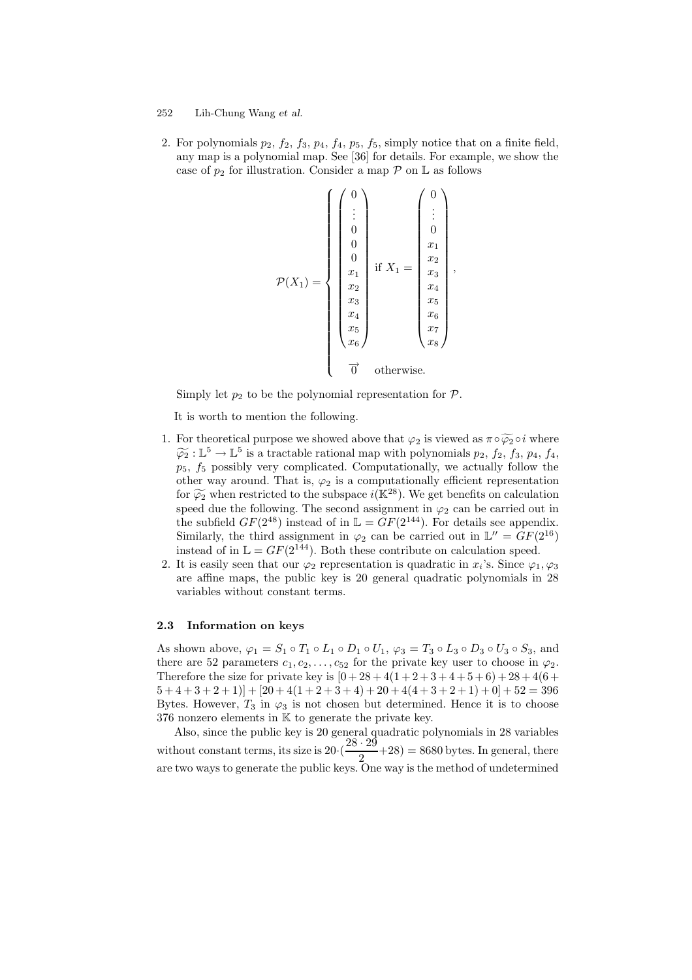2. For polynomials  $p_2$ ,  $f_2$ ,  $f_3$ ,  $p_4$ ,  $f_4$ ,  $p_5$ ,  $f_5$ , simply notice that on a finite field, any map is a polynomial map. See [36] for details. For example, we show the case of  $p_2$  for illustration. Consider a map  $P$  on  $\mathbb L$  as follows

$$
\mathcal{P}(X_1) = \left\{ \begin{pmatrix} 0 \\ \vdots \\ 0 \\ 0 \\ 0 \\ x_1 \\ x_2 \\ x_3 \\ x_4 \\ x_5 \\ x_6 \\ x_7 \\ x_8 \end{pmatrix} \text{ if } X_1 = \begin{pmatrix} 0 \\ \vdots \\ 0 \\ x_1 \\ x_2 \\ x_3 \\ x_4 \\ x_5 \\ x_6 \\ x_7 \\ x_8 \end{pmatrix} \text{ , }
$$
  

$$
\overrightarrow{P}(X_1) = \begin{pmatrix} 0 \\ \vdots \\ 0 \\ x_1 \\ x_2 \\ x_4 \\ x_5 \\ x_6 \\ x_7 \\ x_8 \end{pmatrix} \text{ , }
$$

Simply let  $p_2$  to be the polynomial representation for  $\mathcal{P}$ .

It is worth to mention the following.

- 1. For theoretical purpose we showed above that  $\varphi_2$  is viewed as  $\pi \circ \widetilde{\varphi_2} \circ i$  where  $\widetilde{\varphi}_2 : \mathbb{L}^5 \to \mathbb{L}^5$  is a tractable rational map with polynomials  $p_2$ ,  $f_2$ ,  $f_3$ ,  $p_4$ ,  $f_4$ ,  $p_5$ ,  $f_5$  possibly very complicated. Computationally, we actually follow the other way around. That is,  $\varphi_2$  is a computationally efficient representation for  $\widetilde{\varphi_2}$  when restricted to the subspace  $i(\mathbb{K}^{28})$ . We get benefits on calculation speed due the following. The second assignment in  $\varphi_2$  can be carried out in the subfield  $GF(2^{48})$  instead of in  $\mathbb{L} = \tilde{GF}(2^{144})$ . For details see appendix. Similarly, the third assignment in  $\varphi_2$  can be carried out in  $\mathbb{L}'' = GF(2^{16})$ instead of in  $\mathbb{L} = GF(2^{144})$ . Both these contribute on calculation speed.
- 2. It is easily seen that our  $\varphi_2$  representation is quadratic in  $x_i$ 's. Since  $\varphi_1, \varphi_3$ are affine maps, the public key is 20 general quadratic polynomials in 28 variables without constant terms.

#### 2.3 Information on keys

As shown above,  $\varphi_1 = S_1 \circ T_1 \circ L_1 \circ D_1 \circ U_1$ ,  $\varphi_3 = T_3 \circ L_3 \circ D_3 \circ U_3 \circ S_3$ , and there are 52 parameters  $c_1, c_2, \ldots, c_{52}$  for the private key user to choose in  $\varphi_2$ . Therefore the size for private key is  $[0+28+4(1+2+3+4+5+6)+28+4(6+$  $[5+4+3+2+1]$  +  $[20+4(1+2+3+4)+20+4(4+3+2+1)+0]$  +  $52 = 396$ Bytes. However,  $T_3$  in  $\varphi_3$  is not chosen but determined. Hence it is to choose 376 nonzero elements in K to generate the private key.

Also, since the public key is 20 general quadratic polynomials in 28 variables without constant terms, its size is  $20 \cdot (\frac{28 \cdot 29}{8})$  $\frac{2}{2}$  +28) = 8680 bytes. In general, there are two ways to generate the public keys. One way is the method of undetermined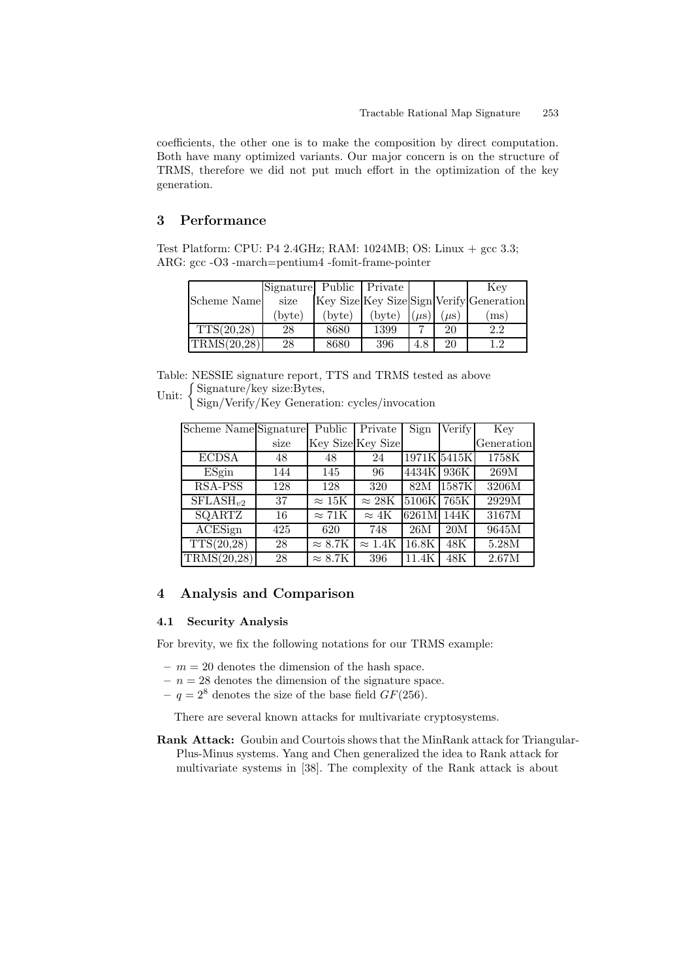coefficients, the other one is to make the composition by direct computation. Both have many optimized variants. Our major concern is on the structure of TRMS, therefore we did not put much effort in the optimization of the key generation.

# 3 Performance

Test Platform: CPU: P4 2.4GHz; RAM: 1024MB; OS: Linux + gcc 3.3; ARG: gcc -O3 -march=pentium4 -fomit-frame-pointer

|             | Signature Public Private |                 |        |           |           | Kev                                      |
|-------------|--------------------------|-----------------|--------|-----------|-----------|------------------------------------------|
| Scheme Name | size                     |                 |        |           |           | Key Size Key Size Sign Verify Generation |
|             | (byte)                   | $(\text{byte})$ | (bvte) | $(\mu s)$ | $(\mu s)$ | $\cos$                                   |
| TTS(20.28)  | 28                       | 8680            | 1399   |           | 20        | $2.2\,$                                  |
| TRMS(20,28) | 28                       | 8680            | 396    | 4.8       | 20        | ၊ ၇                                      |

Table: NESSIE signature report, TTS and TRMS tested as above Unit:  $\left\{ \frac{\text{Signature/key size:Bytes}}{\text{Sign/Morify/Kour Component}} \right\}$ 

Sign/Verify/Key Generation: cycles/invocation

| Scheme Name Signature |      | Public                 | Private                  | Sign        | Verify | Key        |
|-----------------------|------|------------------------|--------------------------|-------------|--------|------------|
|                       | size |                        | Key Size Key Size        |             |        | Generation |
| <b>ECDSA</b>          | 48   | 48                     | 24                       | 1971K 5415K |        | 1758K      |
| ESgin                 | 144  | 145                    | 96                       | 4434K       | 936K   | 269M       |
| <b>RSA-PSS</b>        | 128  | 128                    | 320                      | 82M         | 1587K  | 3206M      |
| $SFLASH_{n2}$         | 37   | $\approx 15\mathrm{K}$ | $\overline{\approx}$ 28K | 5106K       | 765K   | 2929M      |
| SQARTZ                | 16   | $\approx 71K$          | $\approx 4K$             | 6261M       | 144K   | 3167M      |
| <b>ACESign</b>        | 425  | 620                    | 748                      | 26M         | 20M    | 9645M      |
| TTS(20,28)            | 28   | $\approx 8.7$ K        | $\approx 1.4\mathrm{K}$  | 16.8K       | 48K    | $5.28M$    |
| TRMS(20,28)           | 28   | $\approx 8.7K$         | 396                      | 11.4K       | 48K    | 2.67M      |

# 4 Analysis and Comparison

### 4.1 Security Analysis

For brevity, we fix the following notations for our TRMS example:

- $m = 20$  denotes the dimension of the hash space.
- $n = 28$  denotes the dimension of the signature space.
- $q = 2^8$  denotes the size of the base field  $GF(256)$ .

There are several known attacks for multivariate cryptosystems.

Rank Attack: Goubin and Courtois shows that the MinRank attack for Triangular-Plus-Minus systems. Yang and Chen generalized the idea to Rank attack for multivariate systems in [38]. The complexity of the Rank attack is about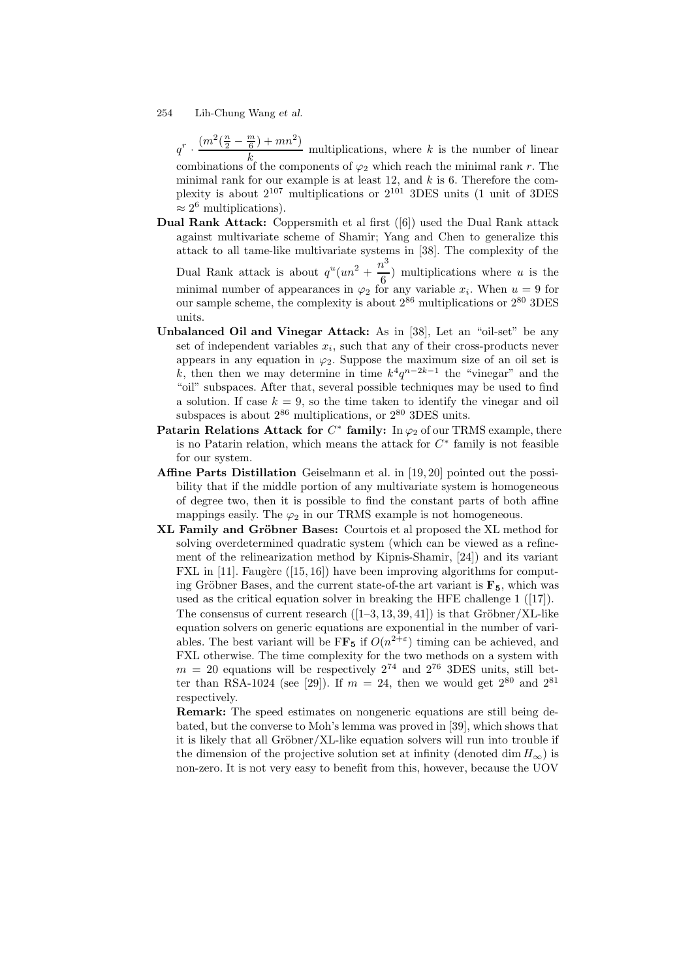$q^r \cdot \frac{(m^2(\frac{n}{2} - \frac{m}{6}) + mn^2)}{l}$  $\frac{k}{k}$  multiplications, where k is the number of linear combinations of the components of  $\varphi_2$  which reach the minimal rank r. The minimal rank for our example is at least  $12$ , and  $k$  is 6. Therefore the complexity is about 2 <sup>107</sup> multiplications or 2 <sup>101</sup> 3DES units (1 unit of 3DES  $\approx 2^6$  multiplications).

Dual Rank Attack: Coppersmith et al first ([6]) used the Dual Rank attack against multivariate scheme of Shamir; Yang and Chen to generalize this attack to all tame-like multivariate systems in [38]. The complexity of the

Dual Rank attack is about  $q^u(un^2 + \frac{n^3}{6})$  $\frac{1}{6}$ ) multiplications where u is the minimal number of appearances in  $\varphi_2$  for any variable  $x_i$ . When  $u = 9$  for our sample scheme, the complexity is about  $2^{86}$  multiplications or  $2^{80}$  3DES units.

- Unbalanced Oil and Vinegar Attack: As in [38], Let an "oil-set" be any set of independent variables  $x_i$ , such that any of their cross-products never appears in any equation in  $\varphi_2$ . Suppose the maximum size of an oil set is k, then then we may determine in time  $k^4q^{n-2k-1}$  the "vinegar" and the "oil" subspaces. After that, several possible techniques may be used to find a solution. If case  $k = 9$ , so the time taken to identify the vinegar and oil subspaces is about  $2^{86}$  multiplications, or  $2^{80}$  3DES units.
- Patarin Relations Attack for  $C^*$  family: In  $\varphi_2$  of our TRMS example, there is no Patarin relation, which means the attack for  $C^*$  family is not feasible for our system.
- Affine Parts Distillation Geiselmann et al. in [19, 20] pointed out the possibility that if the middle portion of any multivariate system is homogeneous of degree two, then it is possible to find the constant parts of both affine mappings easily. The  $\varphi_2$  in our TRMS example is not homogeneous.
- XL Family and Gröbner Bases: Courtois et al proposed the XL method for solving overdetermined quadratic system (which can be viewed as a refinement of the relinearization method by Kipnis-Shamir, [24]) and its variant FXL in  $[11]$ . Faugère  $([15, 16])$  have been improving algorithms for computing Gröbner Bases, and the current state-of-the art variant is  $\mathbf{F}_5$ , which was used as the critical equation solver in breaking the HFE challenge 1 ([17]). The consensus of current research  $([1-3, 13, 39, 41])$  is that Gröbner/XL-like equation solvers on generic equations are exponential in the number of variables. The best variant will be  $FF_5$  if  $O(n^{2+\epsilon})$  timing can be achieved, and FXL otherwise. The time complexity for the two methods on a system with  $m = 20$  equations will be respectively  $2^{74}$  and  $2^{76}$  3DES units, still better than RSA-1024 (see [29]). If  $m = 24$ , then we would get  $2^{80}$  and  $2^{81}$ respectively.

Remark: The speed estimates on nongeneric equations are still being debated, but the converse to Moh's lemma was proved in [39], which shows that it is likely that all Gröbner/XL-like equation solvers will run into trouble if the dimension of the projective solution set at infinity (denoted dim  $H_{\infty}$ ) is non-zero. It is not very easy to benefit from this, however, because the UOV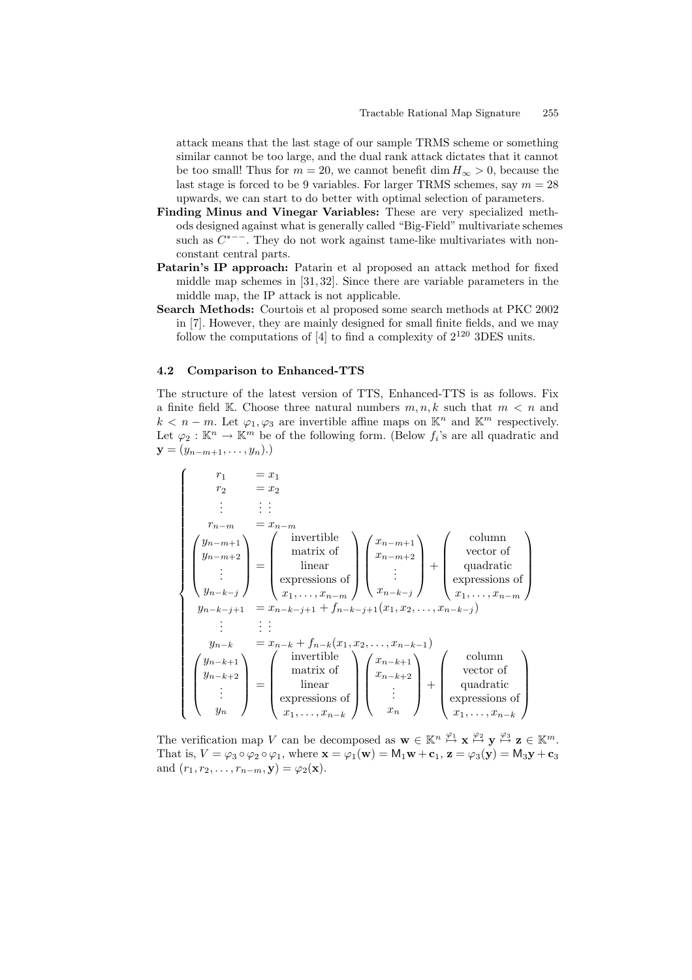attack means that the last stage of our sample TRMS scheme or something similar cannot be too large, and the dual rank attack dictates that it cannot be too small! Thus for  $m = 20$ , we cannot benefit dim  $H_{\infty} > 0$ , because the last stage is forced to be 9 variables. For larger TRMS schemes, say  $m = 28$ upwards, we can start to do better with optimal selection of parameters.

- Finding Minus and Vinegar Variables: These are very specialized methods designed against what is generally called "Big-Field" multivariate schemes such as  $C^{*--}$ . They do not work against tame-like multivariates with nonconstant central parts.
- Patarin's IP approach: Patarin et al proposed an attack method for fixed middle map schemes in [31, 32]. Since there are variable parameters in the middle map, the IP attack is not applicable.
- Search Methods: Courtois et al proposed some search methods at PKC 2002 in [7]. However, they are mainly designed for small finite fields, and we may follow the computations of  $[4]$  to find a complexity of  $2^{120}$  3DES units.

#### 4.2 Comparison to Enhanced-TTS

The structure of the latest version of TTS, Enhanced-TTS is as follows. Fix a finite field K. Choose three natural numbers  $m, n, k$  such that  $m < n$  and  $k < n-m$ . Let  $\varphi_1, \varphi_3$  are invertible affine maps on  $\mathbb{K}^n$  and  $\mathbb{K}^m$  respectively. Let  $\varphi_2 : \mathbb{K}^n \to \mathbb{K}^m$  be of the following form. (Below  $f_i$ 's are all quadratic and  $y = (y_{n-m+1}, \ldots, y_n).$ 

$$
\begin{cases}\n r_1 = x_1 \\
 r_2 = x_2 \\
 \vdots \\
 r_{n-m} = x_{n-m} \\
 y_{n-m+1} \\
 y_{n-k-j} \\
 \vdots \\
 y_{n-k} = x_{n-k} + f_{n-k}(x_1, x_2, \ldots, x_{n-k-1}) \\
 y_{n-k+2} \\
 \vdots \\
 y_{n-k} = x_{n-k} + f_{n-k}(x_1, x_2, \ldots, x_{n-k-1}) \\
 \vdots \\
 y_{n-k+2} \\
 \vdots \\
 y_n\n \end{cases}\n \begin{cases}\n r_1 = x_1 \\
 m_1 = x_2 \\
 r_2 = x_{n-k} + f_{n-k-1} \\
 r_1 = x_{n-k-1} + f_{n-k-1} \\
 r_2 = x_{n-k} + f_{n-k}(x_1, x_2, \ldots, x_{n-k-1}) \\
 \vdots \\
 r_1 = x_{n-k+2} \\
 r_2 = x_{n-k+2} \\
 \vdots \\
 r_n = x_{n-k+2} \\
 r_1 = x_{n-k+2} \\
 \vdots \\
 r_n = x_{n-k+2} \\
 r_1 = x_{n-k+2} \\
 r_2 = x_{n-k+2} \\
 r_1 = x_{n-k+2} \\
 r_2 = x_{n-k+2} \\
 r_1 = x_{n-k+2} \\
 r_2 = x_{n-k+2} \\
 r_2 = x_{n-k+2} \\
 r_2 = x_{n-k+2} \\
 r_2 = x_{n-k+2} \\
 r_2 = x_{n-k+2} \\
 r_2 = x_{n-k+2} \\
 r_2 = x_{n-k+2} \\
 r_2 = x_{n-k+2} \\
 r_2 = x_{n-k+2} \\
 r_2 = x_{n-k+2} \\
 r_2 = x_{n-k+2} \\
 r_2 = x_{n-k+2} \\
 r_2 = x_{n-k+2} \\
 r_2 = x_{n-k+2} \\
 r_2 = x_{n-k+2} \\
 r_2 = x_{n-k+2} \\
 r_2 = x_{n-k+2} \\
 r_2 = x_{n-k+2} \\
 r_2 = x_{n-k+2} \\
 r_2 = x_{n-k+2} \\
 r_2 = x_{n-k+2} \\
 r_2 = x_{n-k+2} \\
 r_2 = x_{n-k+2} \\
 r_2 = x_{n-k+2} \\
 r_2 = x_{n-k+2} \\
 r_2 = x_{n-k+2} \\
 r_2 = x_{n-k+2} \\
 r_2 = x_{n-k+2} \\
 r_2 = x_{n-k+2} \\
 r_2 = x_{n-k+2} \\
 r_2 = x_{n
$$

The verification map V can be decomposed as  $\mathbf{w} \in \mathbb{K}^n \stackrel{\varphi_1}{\mapsto} \mathbf{x} \stackrel{\varphi_2}{\mapsto} \mathbf{y} \stackrel{\varphi_3}{\mapsto} \mathbf{z} \in \mathbb{K}^m$ . That is,  $V = \varphi_3 \circ \varphi_2 \circ \varphi_1$ , where  $\mathbf{x} = \varphi_1(\mathbf{w}) = M_1\mathbf{w} + \mathbf{c}_1$ ,  $\mathbf{z} = \varphi_3(\mathbf{y}) = M_3\mathbf{y} + \mathbf{c}_3$ and  $(r_1, r_2, \ldots, r_{n-m}, \mathbf{y}) = \varphi_2(\mathbf{x}).$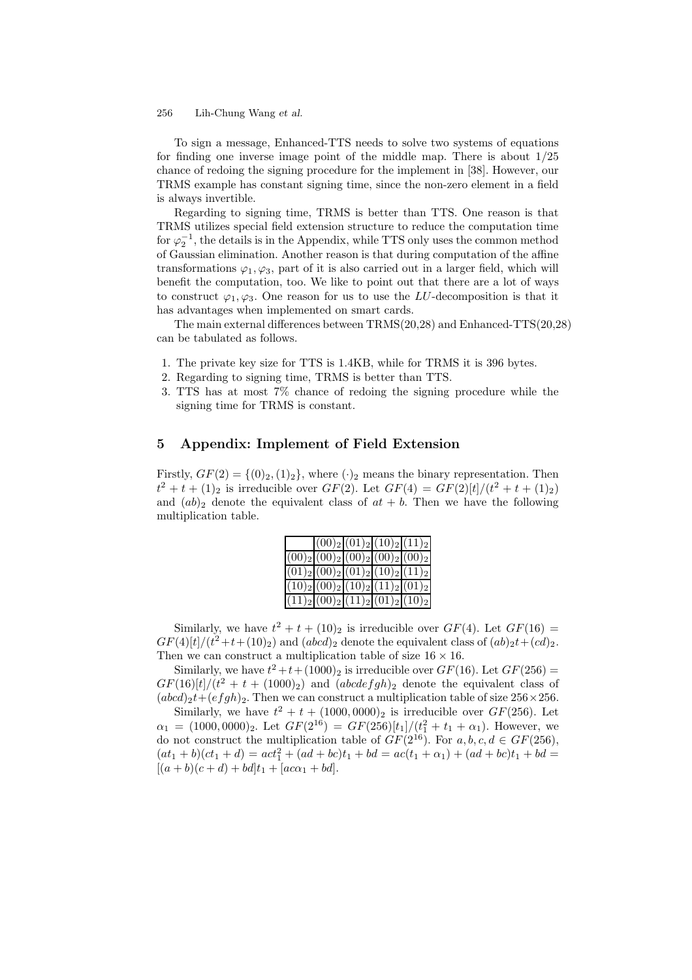To sign a message, Enhanced-TTS needs to solve two systems of equations for finding one inverse image point of the middle map. There is about  $1/25$ chance of redoing the signing procedure for the implement in [38]. However, our TRMS example has constant signing time, since the non-zero element in a field is always invertible.

Regarding to signing time, TRMS is better than TTS. One reason is that TRMS utilizes special field extension structure to reduce the computation time for  $\varphi_2^{-1}$ , the details is in the Appendix, while TTS only uses the common method of Gaussian elimination. Another reason is that during computation of the affine transformations  $\varphi_1, \varphi_3$ , part of it is also carried out in a larger field, which will benefit the computation, too. We like to point out that there are a lot of ways to construct  $\varphi_1, \varphi_3$ . One reason for us to use the LU-decomposition is that it has advantages when implemented on smart cards.

The main external differences between TRMS(20,28) and Enhanced-TTS(20,28) can be tabulated as follows.

- 1. The private key size for TTS is 1.4KB, while for TRMS it is 396 bytes.
- 2. Regarding to signing time, TRMS is better than TTS.
- 3. TTS has at most 7% chance of redoing the signing procedure while the signing time for TRMS is constant.

# 5 Appendix: Implement of Field Extension

Firstly,  $GF(2) = \{(0)_2, (1)_2\}$ , where  $(\cdot)_2$  means the binary representation. Then  $t^2 + t + (1)_2$  is irreducible over  $GF(2)$ . Let  $GF(4) = GF(2)[t]/(t^2 + t + (1)_2)$ and  $(ab)_2$  denote the equivalent class of  $at + b$ . Then we have the following multiplication table.

|                                        |  | $ (00)_2 (01)_2 (10)_2 (11)_2 $ |
|----------------------------------------|--|---------------------------------|
| $ (00)_2 (00)_2 (00)_2 (00)_2 (00)_2 $ |  |                                 |
| $ (01)_2 (00)_2 (01)_2 (10)_2 (11)_2 $ |  |                                 |
| $ (10)_2 (00)_2 (10)_2 (11)_2 (01)_2 $ |  |                                 |
| $ (11)_2 (00)_2 (11)_2 (01)_2 (10)_2 $ |  |                                 |

Similarly, we have  $t^2 + t + (10)_2$  is irreducible over  $GF(4)$ . Let  $GF(16) =$  $GF(4)[t]/(t^2+t+(10)_2)$  and  $(abcd)_2$  denote the equivalent class of  $(ab)_2t+(cd)_2$ . Then we can construct a multiplication table of size  $16 \times 16$ .

Similarly, we have  $t^2 + t + (1000)_2$  is irreducible over  $GF(16)$ . Let  $GF(256) =$  $GF(16)[t]/(t^2+t+(1000)_2)$  and  $(abcdefgh)_2$  denote the equivalent class of  $(abcd)_{2}t+(efgh)_{2}$ . Then we can construct a multiplication table of size  $256\times256$ .

Similarly, we have  $t^2 + t + (1000,0000)_2$  is irreducible over  $GF(256)$ . Let  $\alpha_1 = (1000, 0000)_2$ . Let  $GF(2^{16}) = GF(256)[t_1]/(t_1^2 + t_1 + \alpha_1)$ . However, we do not construct the multiplication table of  $GF(2^{16})$ . For  $a, b, c, d \in GF(256)$ ,  $(at_1 + b)(ct_1 + d) = act_1^2 + (ad + bc)t_1 + bd = ac(t_1 + \alpha_1) + (ad + bc)t_1 + bd =$  $[(a + b)(c + d) + bd]t_1 + [ac\alpha_1 + bd].$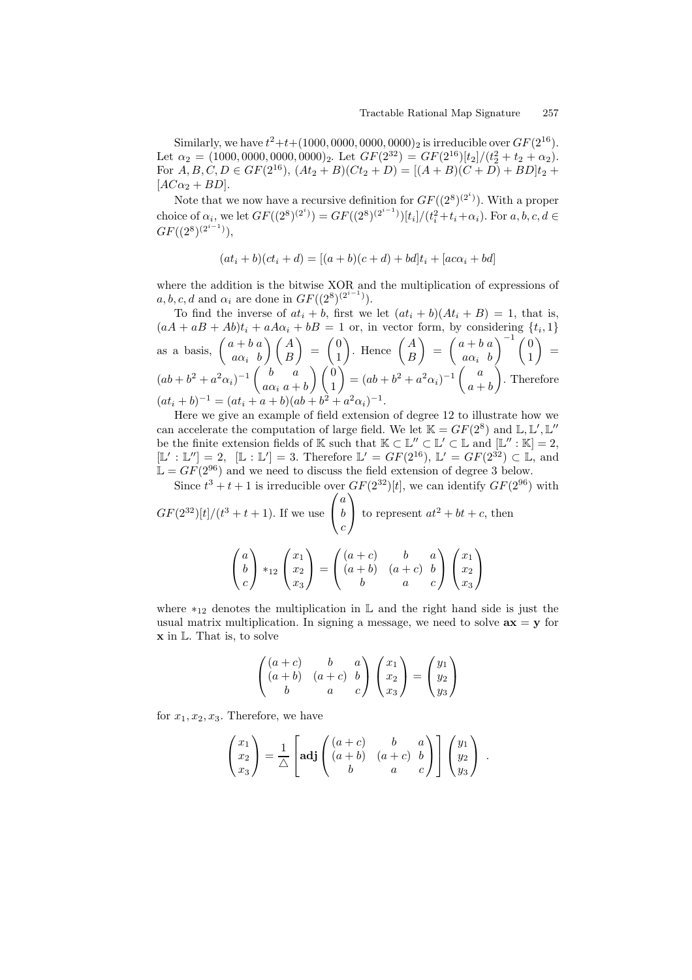Similarly, we have  $t^2+t+(1000,0000,0000,0000)_2$  is irreducible over  $GF(2^{16})$ . Let  $\alpha_2 = (1000, 0000, 0000, 0000)_2$ . Let  $GF(2^{32}) = GF(2^{16})[t_2]/(t_2^2 + t_2 + \alpha_2)$ . For  $A, B, C, D \in GF(2^{16}), (At_2 + B)(Ct_2 + D) = [(A + B)(C + D) + BD]t_2 +$  $[AC\alpha_2 + BD].$ 

Note that we now have a recursive definition for  $GF((2^8)^{(2^i)})$ . With a proper choice of  $\alpha_i$ , we let  $GF((2^8)^{(2^i)}) = GF((2^8)^{(2^{i-1})})[t_i]/(t_i^2 + t_i + \alpha_i)$ . For  $a, b, c, d \in$  $GF((2^8)^{(2^{i-1})}),$ 

$$
(at_i + b)(ct_i + d) = [(a + b)(c + d) + bd]t_i + [ac\alpha_i + bd]
$$

where the addition is the bitwise XOR and the multiplication of expressions of  $a, b, c, d$  and  $\alpha_i$  are done in  $GF((2^8)^{(2^{i-1})}).$ 

To find the inverse of  $at_i + b$ , first we let  $(at_i + b)(At_i + B) = 1$ , that is,  $(aA + aB + Ab)t_i + aA\alpha_i + bB = 1$  or, in vector form, by considering  $\{t_i, 1\}$ as a basis,  $\begin{pmatrix} a+b & a \\ a & b \end{pmatrix}$  $a\alpha_i$  b  $\bigwedge A$ B  $\overline{ }$ =  $\sqrt{0}$ 1 ). Hence  $\begin{pmatrix} A \\ D \end{pmatrix}$ B  $\overline{ }$ =  $\int a + b a$  $a\alpha_i$  b  $\bigg\{-\frac{1}{1} \, \bigg| \, 0$ 1  $\overline{ }$ =  $(ab + b^2 + a^2\alpha_i)^{-1} \begin{pmatrix} b & a \\ a & b \end{pmatrix}$  $a\alpha_i$   $a + b$  $\bigwedge$   $\bigwedge$ 1 Ý  $=(ab+b^2+a^2\alpha_i)^{-1}\left(\begin{array}{c}a\\a\end{array}\right)$  $a + b$ Í. . Therefore  $(at_i + b)^{-1} = (at_i + a + b)(ab + b^2 + a^2\alpha_i)^{-1}.$ 

Here we give an example of field extension of degree 12 to illustrate how we can accelerate the computation of large field. We let  $\mathbb{K} = GF(2^8)$  and  $\mathbb{L}, \mathbb{L}', \mathbb{L}''$ be the finite extension fields of K such that  $K \subset \mathbb{L}'' \subset \mathbb{L}' \subset \mathbb{L}$  and  $[\mathbb{L}'' : \mathbb{K}] = 2$ ,  $[L': L''] = 2$ ,  $[L': L'] = 3$ . Therefore  $L' = GF(2^{16})$ ,  $L' = GF(2^{32}) \subset L$ , and  $\mathbb{L} = GF(2^{96})$  and we need to discuss the field extension of degree 3 below.

Since 
$$
t^3 + t + 1
$$
 is irreducible over  $GF(2^{32})[t]$ , we can identify  $GF(2^{96})$  with  
\n $GF(2^{32})[t]/(t^3 + t + 1)$ . If we use  $\begin{pmatrix} a \\ b \\ c \end{pmatrix}$  to represent  $at^2 + bt + c$ , then  
\n
$$
\begin{pmatrix} a \\ b \\ c \end{pmatrix} *_{12} \begin{pmatrix} x_1 \\ x_2 \\ x_3 \end{pmatrix} = \begin{pmatrix} (a+c) & b & a \\ (a+b) & (a+c) & b \\ b & a & c \end{pmatrix} \begin{pmatrix} x_1 \\ x_2 \\ x_3 \end{pmatrix}
$$

where  $*_12$  denotes the multiplication in  $\mathbb L$  and the right hand side is just the usual matrix multiplication. In signing a message, we need to solve  $ax = y$  for  $\bf{x}$  in  $\mathbb{L}$ . That is, to solve

$$
\begin{pmatrix}\n(a+c) & b & a \\
(a+b) & (a+c) & b \\
b & a & c\n\end{pmatrix}\n\begin{pmatrix}\nx_1 \\
x_2 \\
x_3\n\end{pmatrix} =\n\begin{pmatrix}\ny_1 \\
y_2 \\
y_3\n\end{pmatrix}
$$

for  $x_1, x_2, x_3$ . Therefore, we have

$$
\begin{pmatrix} x_1 \\ x_2 \\ x_3 \end{pmatrix} = \frac{1}{\triangle} \begin{bmatrix} \mathbf{adj} \begin{pmatrix} (a+c) & b & a \\ (a+b) & (a+c) & b \\ b & a & c \end{pmatrix} \end{bmatrix} \begin{pmatrix} y_1 \\ y_2 \\ y_3 \end{pmatrix} .
$$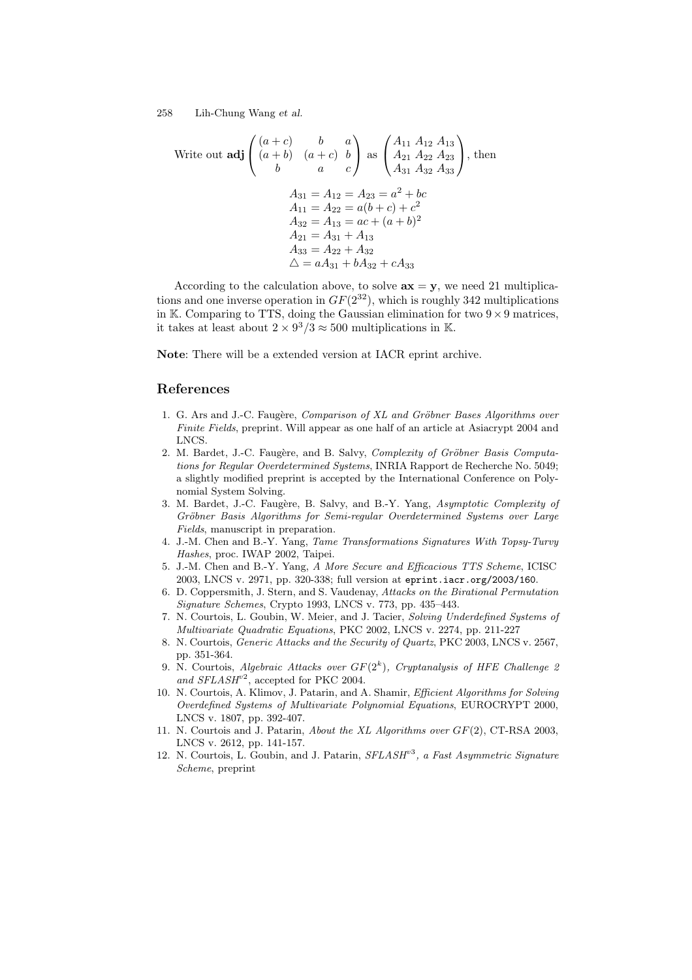Write out **adj** 
$$
\begin{pmatrix} (a+c) & b & a \\ (a+b) & (a+c) & b \\ b & a & c \end{pmatrix}
$$
 as  $\begin{pmatrix} A_{11} A_{12} A_{13} \\ A_{21} A_{22} A_{23} \\ A_{31} A_{32} A_{33} \end{pmatrix}$ , then  
\n
$$
A_{31} = A_{12} = A_{23} = a^2 + bc
$$
\n
$$
A_{11} = A_{22} = a(b+c) + c^2
$$
\n
$$
A_{32} = A_{13} = ac + (a+b)^2
$$
\n
$$
A_{21} = A_{31} + A_{13}
$$
\n
$$
A_{33} = A_{22} + A_{32}
$$
\n
$$
\triangle = aA_{31} + bA_{32} + cA_{33}
$$

According to the calculation above, to solve  $ax = y$ , we need 21 multiplications and one inverse operation in  $GF(2^{32})$ , which is roughly 342 multiplications in K. Comparing to TTS, doing the Gaussian elimination for two  $9 \times 9$  matrices, it takes at least about  $2 \times 9^3/3 \approx 500$  multiplications in K.

Note: There will be a extended version at IACR eprint archive.

# References

- 1. G. Ars and J.-C. Faugère, Comparison of XL and Gröbner Bases Algorithms over Finite Fields, preprint. Will appear as one half of an article at Asiacrypt 2004 and LNCS.
- 2. M. Bardet, J.-C. Faugère, and B. Salvy, Complexity of Gröbner Basis Computations for Regular Overdetermined Systems, INRIA Rapport de Recherche No. 5049; a slightly modified preprint is accepted by the International Conference on Polynomial System Solving.
- 3. M. Bardet, J.-C. Faugère, B. Salvy, and B.-Y. Yang, Asymptotic Complexity of Gröbner Basis Algorithms for Semi-regular Overdetermined Systems over Large Fields, manuscript in preparation.
- 4. J.-M. Chen and B.-Y. Yang, Tame Transformations Signatures With Topsy-Turvy Hashes, proc. IWAP 2002, Taipei.
- 5. J.-M. Chen and B.-Y. Yang, A More Secure and Efficacious TTS Scheme, ICISC 2003, LNCS v. 2971, pp. 320-338; full version at eprint.iacr.org/2003/160.
- 6. D. Coppersmith, J. Stern, and S. Vaudenay, Attacks on the Birational Permutation Signature Schemes, Crypto 1993, LNCS v. 773, pp. 435–443.
- 7. N. Courtois, L. Goubin, W. Meier, and J. Tacier, Solving Underdefined Systems of Multivariate Quadratic Equations, PKC 2002, LNCS v. 2274, pp. 211-227
- 8. N. Courtois, Generic Attacks and the Security of Quartz, PKC 2003, LNCS v. 2567, pp. 351-364.
- 9. N. Courtois, Algebraic Attacks over  $GF(2<sup>k</sup>)$ , Cryptanalysis of HFE Challenge 2 and  $SFLASH^{v2}$ , accepted for PKC 2004.
- 10. N. Courtois, A. Klimov, J. Patarin, and A. Shamir, Efficient Algorithms for Solving Overdefined Systems of Multivariate Polynomial Equations, EUROCRYPT 2000, LNCS v. 1807, pp. 392-407.
- 11. N. Courtois and J. Patarin, About the XL Algorithms over GF(2), CT-RSA 2003, LNCS v. 2612, pp. 141-157.
- 12. N. Courtois, L. Goubin, and J. Patarin,  $SFLASH^{v3}$ , a Fast Asymmetric Signature Scheme, preprint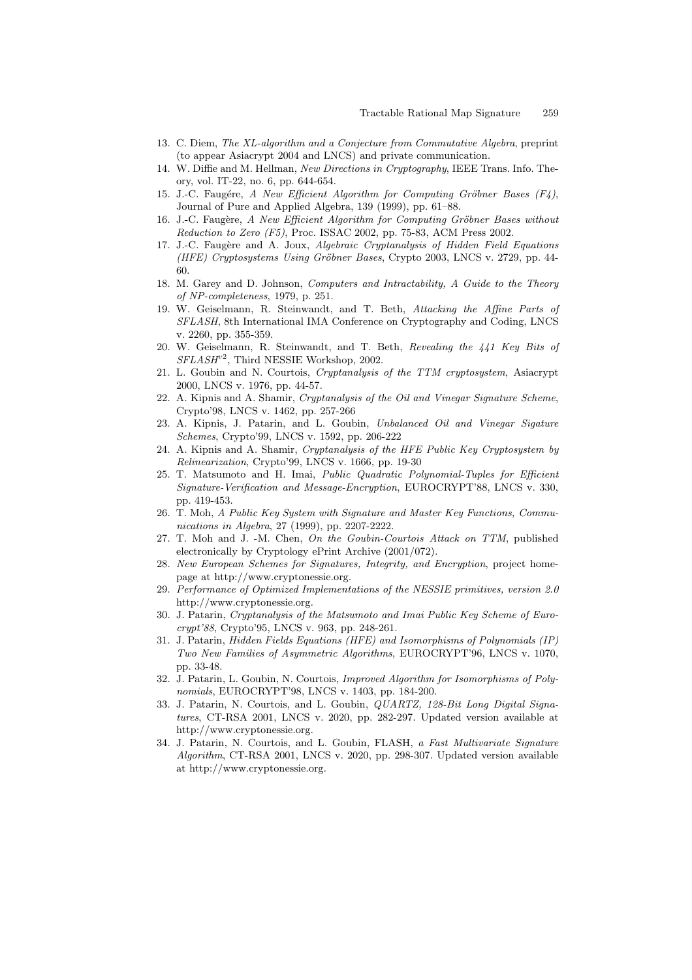- 13. C. Diem, The XL-algorithm and a Conjecture from Commutative Algebra, preprint (to appear Asiacrypt 2004 and LNCS) and private communication.
- 14. W. Diffie and M. Hellman, New Directions in Cryptography, IEEE Trans. Info. Theory, vol. IT-22, no. 6, pp. 644-654.
- 15. J.-C. Faugére, A New Efficient Algorithm for Computing Gröbner Bases  $(F_4)$ , Journal of Pure and Applied Algebra, 139 (1999), pp. 61–88.
- 16. J.-C. Faugère, A New Efficient Algorithm for Computing Gröbner Bases without Reduction to Zero (F5), Proc. ISSAC 2002, pp. 75-83, ACM Press 2002.
- 17. J.-C. Faugère and A. Joux, Algebraic Cryptanalysis of Hidden Field Equations (HFE) Cryptosystems Using Gröbner Bases, Crypto 2003, LNCS v. 2729, pp. 44-60.
- 18. M. Garey and D. Johnson, Computers and Intractability, A Guide to the Theory of NP-completeness, 1979, p. 251.
- 19. W. Geiselmann, R. Steinwandt, and T. Beth, Attacking the Affine Parts of SFLASH, 8th International IMA Conference on Cryptography and Coding, LNCS v. 2260, pp. 355-359.
- 20. W. Geiselmann, R. Steinwandt, and T. Beth, Revealing the 441 Key Bits of SFLASH<sup>v2</sup>, Third NESSIE Workshop, 2002.
- 21. L. Goubin and N. Courtois, Cryptanalysis of the TTM cryptosystem, Asiacrypt 2000, LNCS v. 1976, pp. 44-57.
- 22. A. Kipnis and A. Shamir, Cryptanalysis of the Oil and Vinegar Signature Scheme, Crypto'98, LNCS v. 1462, pp. 257-266
- 23. A. Kipnis, J. Patarin, and L. Goubin, Unbalanced Oil and Vinegar Sigature Schemes, Crypto'99, LNCS v. 1592, pp. 206-222
- 24. A. Kipnis and A. Shamir, Cryptanalysis of the HFE Public Key Cryptosystem by Relinearization, Crypto'99, LNCS v. 1666, pp. 19-30
- 25. T. Matsumoto and H. Imai, Public Quadratic Polynomial-Tuples for Efficient Signature-Verification and Message-Encryption, EUROCRYPT'88, LNCS v. 330, pp. 419-453.
- 26. T. Moh, A Public Key System with Signature and Master Key Functions, Communications in Algebra, 27 (1999), pp. 2207-2222.
- 27. T. Moh and J. -M. Chen, On the Goubin-Courtois Attack on TTM, published electronically by Cryptology ePrint Archive (2001/072).
- 28. New European Schemes for Signatures, Integrity, and Encryption, project homepage at http://www.cryptonessie.org.
- 29. Performance of Optimized Implementations of the NESSIE primitives, version 2.0 http://www.cryptonessie.org.
- 30. J. Patarin, Cryptanalysis of the Matsumoto and Imai Public Key Scheme of Eurocrypt'88, Crypto'95, LNCS v. 963, pp. 248-261.
- 31. J. Patarin, Hidden Fields Equations (HFE) and Isomorphisms of Polynomials (IP) Two New Families of Asymmetric Algorithms, EUROCRYPT'96, LNCS v. 1070, pp. 33-48.
- 32. J. Patarin, L. Goubin, N. Courtois, Improved Algorithm for Isomorphisms of Polynomials, EUROCRYPT'98, LNCS v. 1403, pp. 184-200.
- 33. J. Patarin, N. Courtois, and L. Goubin, QUARTZ, 128-Bit Long Digital Signatures, CT-RSA 2001, LNCS v. 2020, pp. 282-297. Updated version available at http://www.cryptonessie.org.
- 34. J. Patarin, N. Courtois, and L. Goubin, FLASH, a Fast Multivariate Signature Algorithm, CT-RSA 2001, LNCS v. 2020, pp. 298-307. Updated version available at http://www.cryptonessie.org.